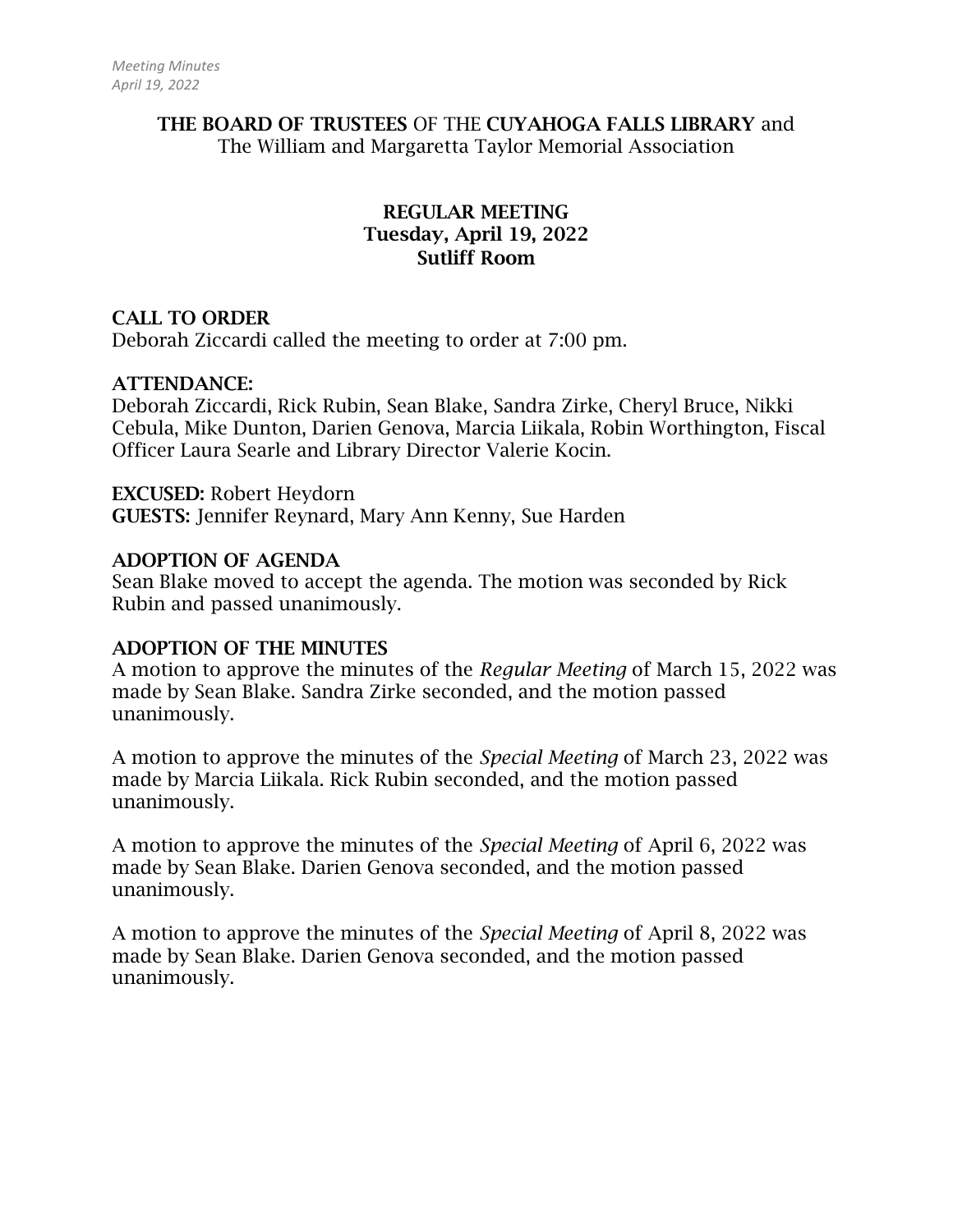## THE BOARD OF TRUSTEES OF THE CUYAHOGA FALLS LIBRARY and The William and Margaretta Taylor Memorial Association

# REGULAR MEETING Tuesday, April 19, 2022 Sutliff Room

## CALL TO ORDER

Deborah Ziccardi called the meeting to order at 7:00 pm.

#### ATTENDANCE:

Deborah Ziccardi, Rick Rubin, Sean Blake, Sandra Zirke, Cheryl Bruce, Nikki Cebula, Mike Dunton, Darien Genova, Marcia Liikala, Robin Worthington, Fiscal Officer Laura Searle and Library Director Valerie Kocin.

#### EXCUSED: Robert Heydorn GUESTS: Jennifer Reynard, Mary Ann Kenny, Sue Harden

#### ADOPTION OF AGENDA

Sean Blake moved to accept the agenda. The motion was seconded by Rick Rubin and passed unanimously.

#### ADOPTION OF THE MINUTES

A motion to approve the minutes of the *Regular Meeting* of March 15, 2022 was made by Sean Blake. Sandra Zirke seconded, and the motion passed unanimously.

A motion to approve the minutes of the *Special Meeting* of March 23, 2022 was made by Marcia Liikala. Rick Rubin seconded, and the motion passed unanimously.

A motion to approve the minutes of the *Special Meeting* of April 6, 2022 was made by Sean Blake. Darien Genova seconded, and the motion passed unanimously.

A motion to approve the minutes of the *Special Meeting* of April 8, 2022 was made by Sean Blake. Darien Genova seconded, and the motion passed unanimously.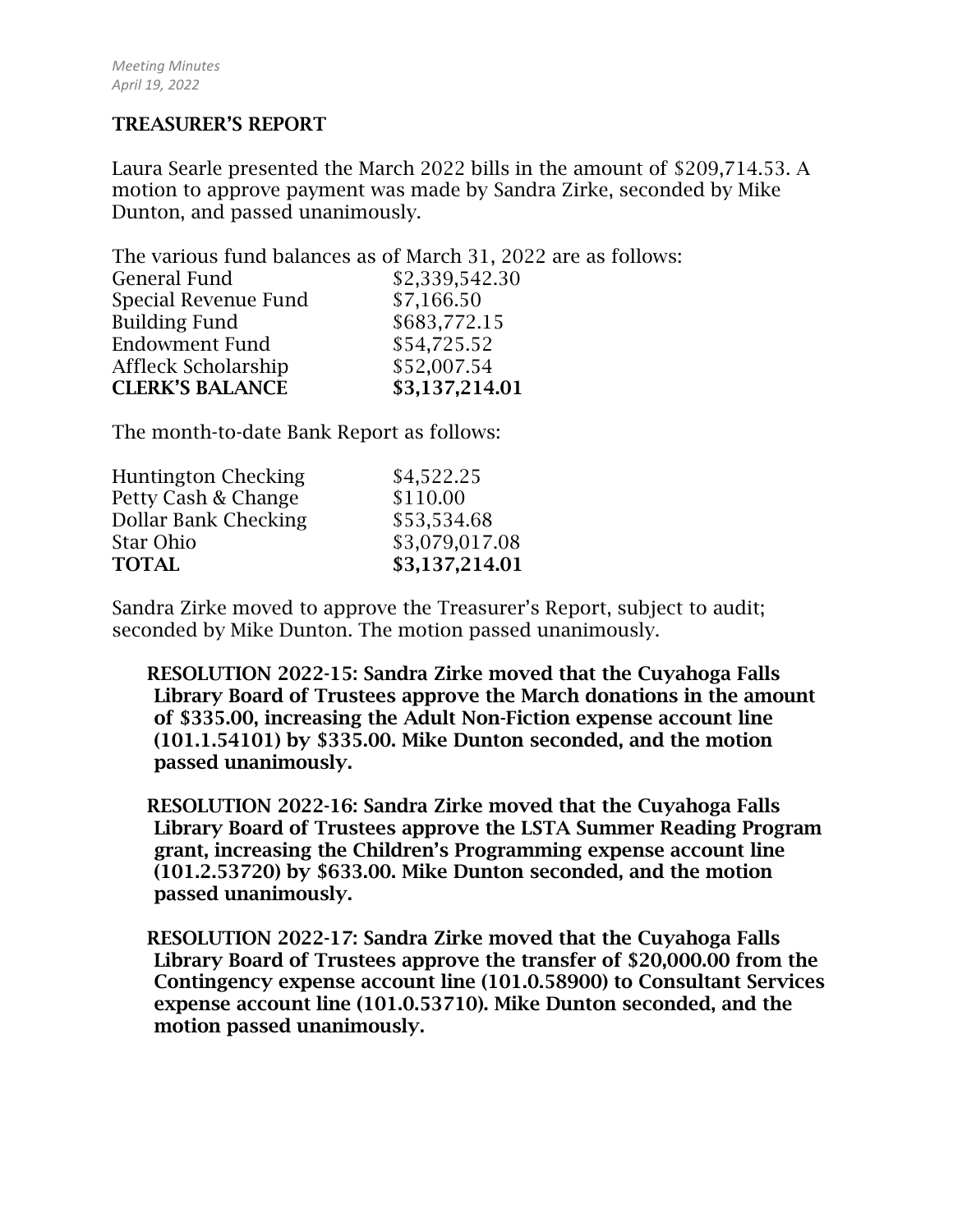#### TREASURER'S REPORT

Laura Searle presented the March 2022 bills in the amount of \$209,714.53. A motion to approve payment was made by Sandra Zirke, seconded by Mike Dunton, and passed unanimously.

The various fund balances as of March 31, 2022 are as follows: General Fund \$2,339,542.30 Special Revenue Fund \$7,166.50 Building Fund \$683,772.15 Endowment Fund \$54,725.52 Affleck Scholarship  $$52,007.54$ CLERK'S BALANCE \$3,137,214.01

The month-to-date Bank Report as follows:

| <b>Huntington Checking</b><br>Petty Cash & Change | \$4,522.25<br>\$110.00 |
|---------------------------------------------------|------------------------|
| Dollar Bank Checking                              | \$53,534.68            |
| Star Ohio                                         | \$3,079,017.08         |
| <b>TOTAL</b>                                      | \$3,137,214.01         |

Sandra Zirke moved to approve the Treasurer's Report, subject to audit; seconded by Mike Dunton. The motion passed unanimously.

RESOLUTION 2022-15: Sandra Zirke moved that the Cuyahoga Falls Library Board of Trustees approve the March donations in the amount of \$335.00, increasing the Adult Non-Fiction expense account line (101.1.54101) by \$335.00. Mike Dunton seconded, and the motion passed unanimously.

RESOLUTION 2022-16: Sandra Zirke moved that the Cuyahoga Falls Library Board of Trustees approve the LSTA Summer Reading Program grant, increasing the Children's Programming expense account line (101.2.53720) by \$633.00. Mike Dunton seconded, and the motion passed unanimously.

RESOLUTION 2022-17: Sandra Zirke moved that the Cuyahoga Falls Library Board of Trustees approve the transfer of \$20,000.00 from the Contingency expense account line (101.0.58900) to Consultant Services expense account line (101.0.53710). Mike Dunton seconded, and the motion passed unanimously.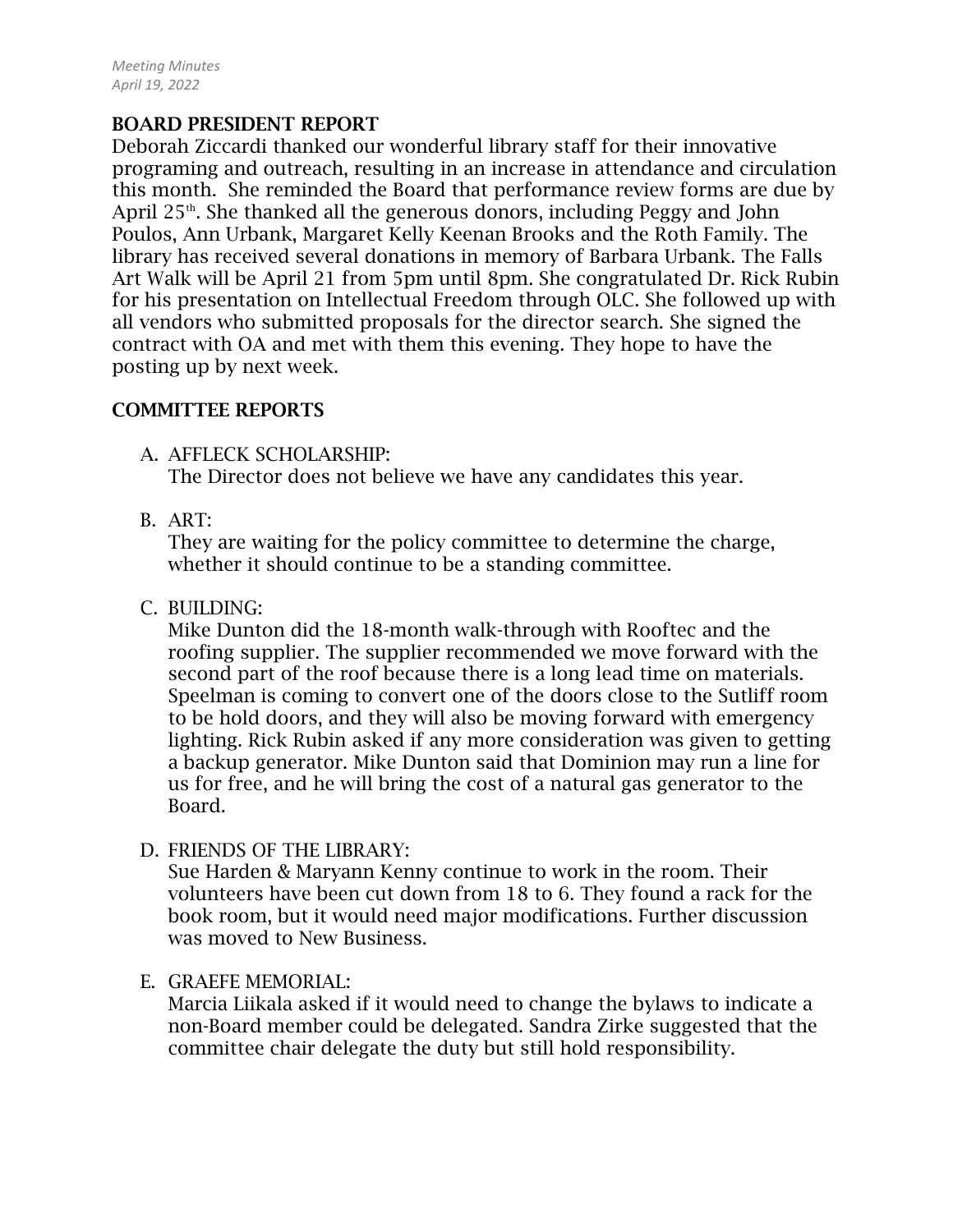# BOARD PRESIDENT REPORT

Deborah Ziccardi thanked our wonderful library staff for their innovative programing and outreach, resulting in an increase in attendance and circulation this month. She reminded the Board that performance review forms are due by April  $25<sup>th</sup>$ . She thanked all the generous donors, including Peggy and John Poulos, Ann Urbank, Margaret Kelly Keenan Brooks and the Roth Family. The library has received several donations in memory of Barbara Urbank. The Falls Art Walk will be April 21 from 5pm until 8pm. She congratulated Dr. Rick Rubin for his presentation on Intellectual Freedom through OLC. She followed up with all vendors who submitted proposals for the director search. She signed the contract with OA and met with them this evening. They hope to have the posting up by next week.

#### COMMITTEE REPORTS

A. AFFLECK SCHOLARSHIP:

The Director does not believe we have any candidates this year.

B. ART:

They are waiting for the policy committee to determine the charge, whether it should continue to be a standing committee.

C. BUILDING:

Mike Dunton did the 18-month walk-through with Rooftec and the roofing supplier. The supplier recommended we move forward with the second part of the roof because there is a long lead time on materials. Speelman is coming to convert one of the doors close to the Sutliff room to be hold doors, and they will also be moving forward with emergency lighting. Rick Rubin asked if any more consideration was given to getting a backup generator. Mike Dunton said that Dominion may run a line for us for free, and he will bring the cost of a natural gas generator to the Board.

D. FRIENDS OF THE LIBRARY:

Sue Harden & Maryann Kenny continue to work in the room. Their volunteers have been cut down from 18 to 6. They found a rack for the book room, but it would need major modifications. Further discussion was moved to New Business.

E. GRAEFE MEMORIAL:

Marcia Liikala asked if it would need to change the bylaws to indicate a non-Board member could be delegated. Sandra Zirke suggested that the committee chair delegate the duty but still hold responsibility.